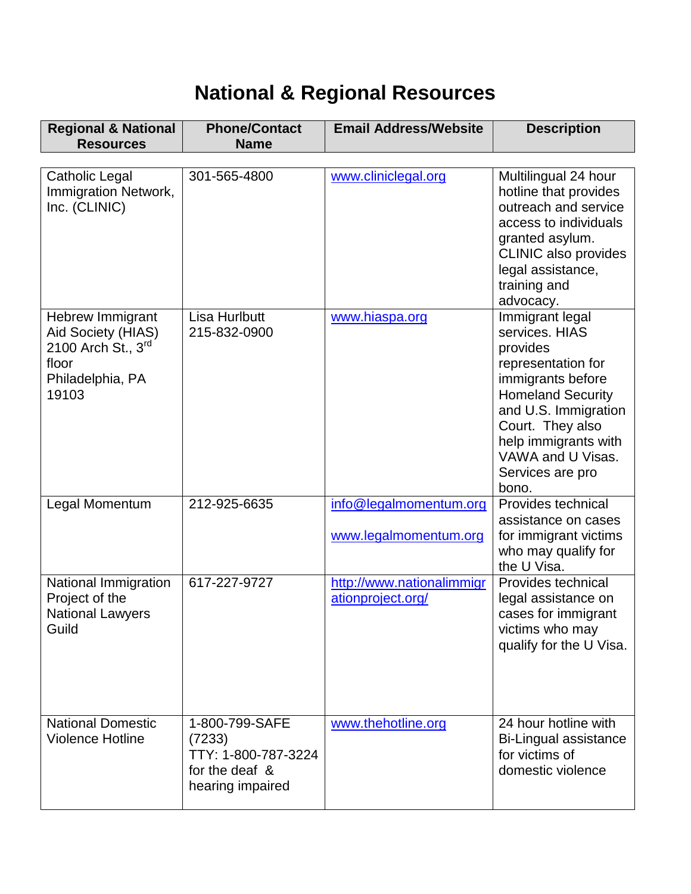## **National & Regional Resources**

| <b>Regional &amp; National</b><br><b>Resources</b>                                                          | <b>Phone/Contact</b><br><b>Name</b>                                                   | <b>Email Address/Website</b>                    | <b>Description</b>                                                                                                                                                                                                                         |
|-------------------------------------------------------------------------------------------------------------|---------------------------------------------------------------------------------------|-------------------------------------------------|--------------------------------------------------------------------------------------------------------------------------------------------------------------------------------------------------------------------------------------------|
|                                                                                                             |                                                                                       |                                                 |                                                                                                                                                                                                                                            |
| <b>Catholic Legal</b><br>Immigration Network,<br>Inc. (CLINIC)                                              | 301-565-4800                                                                          | www.cliniclegal.org                             | Multilingual 24 hour<br>hotline that provides<br>outreach and service<br>access to individuals<br>granted asylum.<br><b>CLINIC also provides</b><br>legal assistance,<br>training and<br>advocacy.                                         |
| <b>Hebrew Immigrant</b><br>Aid Society (HIAS)<br>2100 Arch St., $3rd$<br>floor<br>Philadelphia, PA<br>19103 | Lisa Hurlbutt<br>215-832-0900                                                         | www.hiaspa.org                                  | Immigrant legal<br>services. HIAS<br>provides<br>representation for<br>immigrants before<br><b>Homeland Security</b><br>and U.S. Immigration<br>Court. They also<br>help immigrants with<br>VAWA and U Visas.<br>Services are pro<br>bono. |
| Legal Momentum                                                                                              | 212-925-6635                                                                          | info@legalmomentum.org<br>www.legalmomentum.org | Provides technical<br>assistance on cases<br>for immigrant victims<br>who may qualify for<br>the U Visa.                                                                                                                                   |
| National Immigration<br>Project of the<br><b>National Lawyers</b><br>Guild                                  | 617-227-9727                                                                          | http://www.nationalimmigr<br>ationproject.org/  | Provides technical<br>legal assistance on<br>cases for immigrant<br>victims who may<br>qualify for the U Visa.                                                                                                                             |
| <b>National Domestic</b><br><b>Violence Hotline</b>                                                         | 1-800-799-SAFE<br>(7233)<br>TTY: 1-800-787-3224<br>for the deaf &<br>hearing impaired | www.thehotline.org                              | 24 hour hotline with<br>Bi-Lingual assistance<br>for victims of<br>domestic violence                                                                                                                                                       |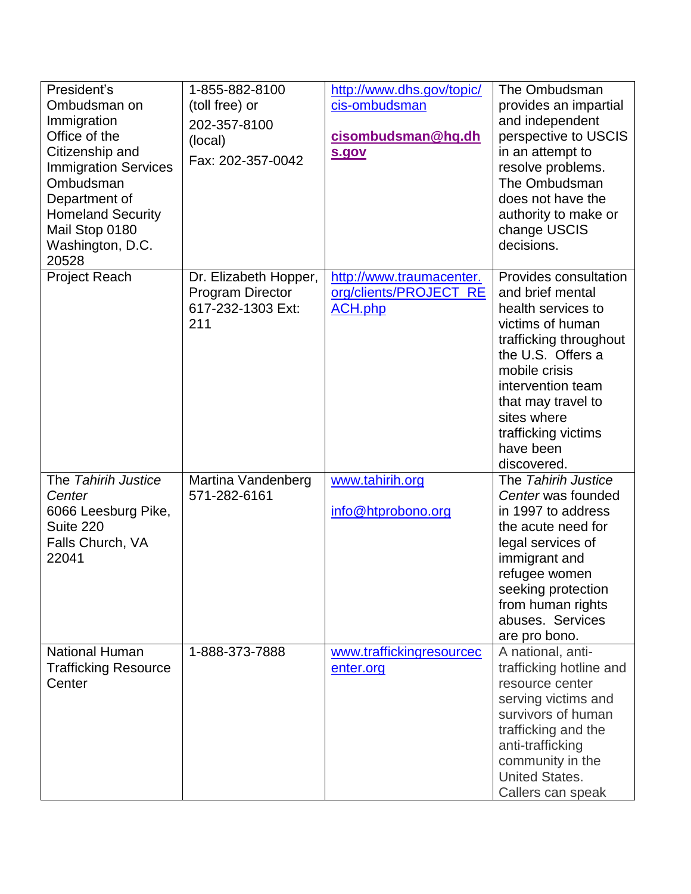| President's<br>Ombudsman on<br>Immigration<br>Office of the<br>Citizenship and<br><b>Immigration Services</b><br>Ombudsman<br>Department of<br><b>Homeland Security</b><br>Mail Stop 0180<br>Washington, D.C.<br>20528 | 1-855-882-8100<br>(toll free) or<br>202-357-8100<br>(local)<br>Fax: 202-357-0042 | http://www.dhs.gov/topic/<br>cis-ombudsman<br>cisombudsman@hq.dh<br>s.gov | The Ombudsman<br>provides an impartial<br>and independent<br>perspective to USCIS<br>in an attempt to<br>resolve problems.<br>The Ombudsman<br>does not have the<br>authority to make or<br>change USCIS<br>decisions.                                           |
|------------------------------------------------------------------------------------------------------------------------------------------------------------------------------------------------------------------------|----------------------------------------------------------------------------------|---------------------------------------------------------------------------|------------------------------------------------------------------------------------------------------------------------------------------------------------------------------------------------------------------------------------------------------------------|
| <b>Project Reach</b>                                                                                                                                                                                                   | Dr. Elizabeth Hopper,<br><b>Program Director</b><br>617-232-1303 Ext:<br>211     | http://www.traumacenter.<br>org/clients/PROJECT_RE<br><b>ACH.php</b>      | Provides consultation<br>and brief mental<br>health services to<br>victims of human<br>trafficking throughout<br>the U.S. Offers a<br>mobile crisis<br>intervention team<br>that may travel to<br>sites where<br>trafficking victims<br>have been<br>discovered. |
| The Tahirih Justice<br>Center<br>6066 Leesburg Pike,<br>Suite 220<br>Falls Church, VA<br>22041                                                                                                                         | Martina Vandenberg<br>571-282-6161                                               | www.tahirih.org<br>info@htprobono.org                                     | The Tahirih Justice<br>Center was founded<br>in 1997 to address<br>the acute need for<br>legal services of<br>immigrant and<br>refugee women<br>seeking protection<br>from human rights<br>abuses. Services<br>are pro bono.                                     |
| <b>National Human</b><br><b>Trafficking Resource</b><br>Center                                                                                                                                                         | 1-888-373-7888                                                                   | www.traffickingresourcec<br>enter.org                                     | A national, anti-<br>trafficking hotline and<br>resource center<br>serving victims and<br>survivors of human<br>trafficking and the<br>anti-trafficking<br>community in the<br><b>United States.</b><br>Callers can speak                                        |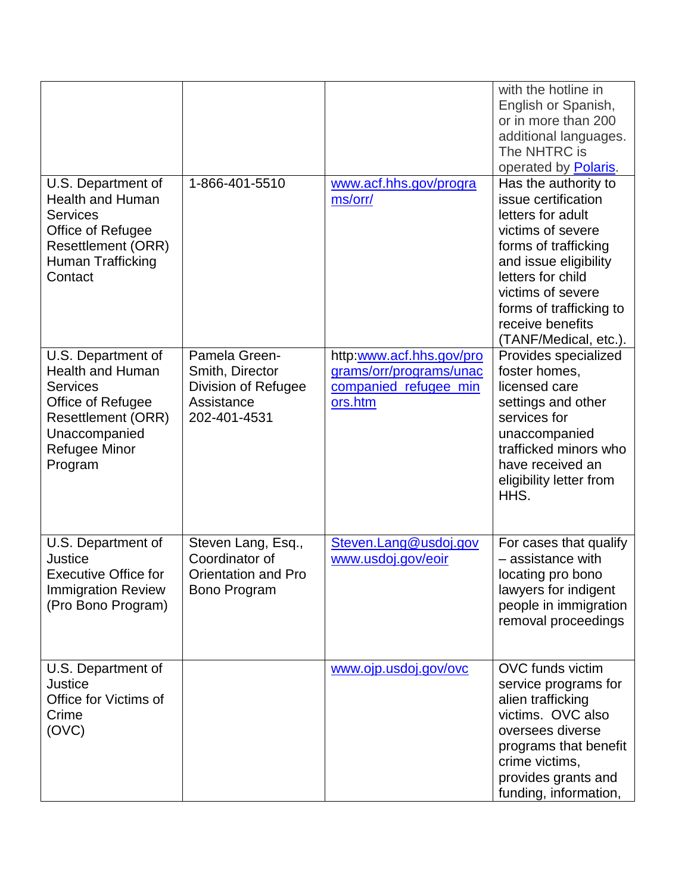|                                                                                                                                                                 |                                                                                       |                                                                                         | with the hotline in<br>English or Spanish,<br>or in more than 200<br>additional languages.<br>The NHTRC is<br>operated by Polaris.                                                                                                                       |
|-----------------------------------------------------------------------------------------------------------------------------------------------------------------|---------------------------------------------------------------------------------------|-----------------------------------------------------------------------------------------|----------------------------------------------------------------------------------------------------------------------------------------------------------------------------------------------------------------------------------------------------------|
| U.S. Department of<br><b>Health and Human</b><br><b>Services</b><br>Office of Refugee<br><b>Resettlement (ORR)</b><br>Human Trafficking<br>Contact              | 1-866-401-5510                                                                        | www.acf.hhs.gov/progra<br>ms/orr/                                                       | Has the authority to<br>issue certification<br>letters for adult<br>victims of severe<br>forms of trafficking<br>and issue eligibility<br>letters for child<br>victims of severe<br>forms of trafficking to<br>receive benefits<br>(TANF/Medical, etc.). |
| U.S. Department of<br><b>Health and Human</b><br><b>Services</b><br>Office of Refugee<br><b>Resettlement (ORR)</b><br>Unaccompanied<br>Refugee Minor<br>Program | Pamela Green-<br>Smith, Director<br>Division of Refugee<br>Assistance<br>202-401-4531 | http:www.acf.hhs.gov/pro<br>grams/orr/programs/unac<br>companied_refugee_min<br>ors.htm | Provides specialized<br>foster homes,<br>licensed care<br>settings and other<br>services for<br>unaccompanied<br>trafficked minors who<br>have received an<br>eligibility letter from<br>HHS.                                                            |
| U.S. Department of<br><b>Justice</b><br><b>Executive Office for</b><br><b>Immigration Review</b><br>(Pro Bono Program)                                          | Steven Lang, Esq.,<br>Coordinator of<br><b>Orientation and Pro</b><br>Bono Program    | Steven.Lang@usdoj.gov<br>www.usdoj.gov/eoir                                             | For cases that qualify<br>- assistance with<br>locating pro bono<br>lawyers for indigent<br>people in immigration<br>removal proceedings                                                                                                                 |
| U.S. Department of<br><b>Justice</b><br>Office for Victims of<br>Crime<br>(OVC)                                                                                 |                                                                                       | www.ojp.usdoj.gov/ovc                                                                   | OVC funds victim<br>service programs for<br>alien trafficking<br>victims. OVC also<br>oversees diverse<br>programs that benefit<br>crime victims,<br>provides grants and<br>funding, information,                                                        |